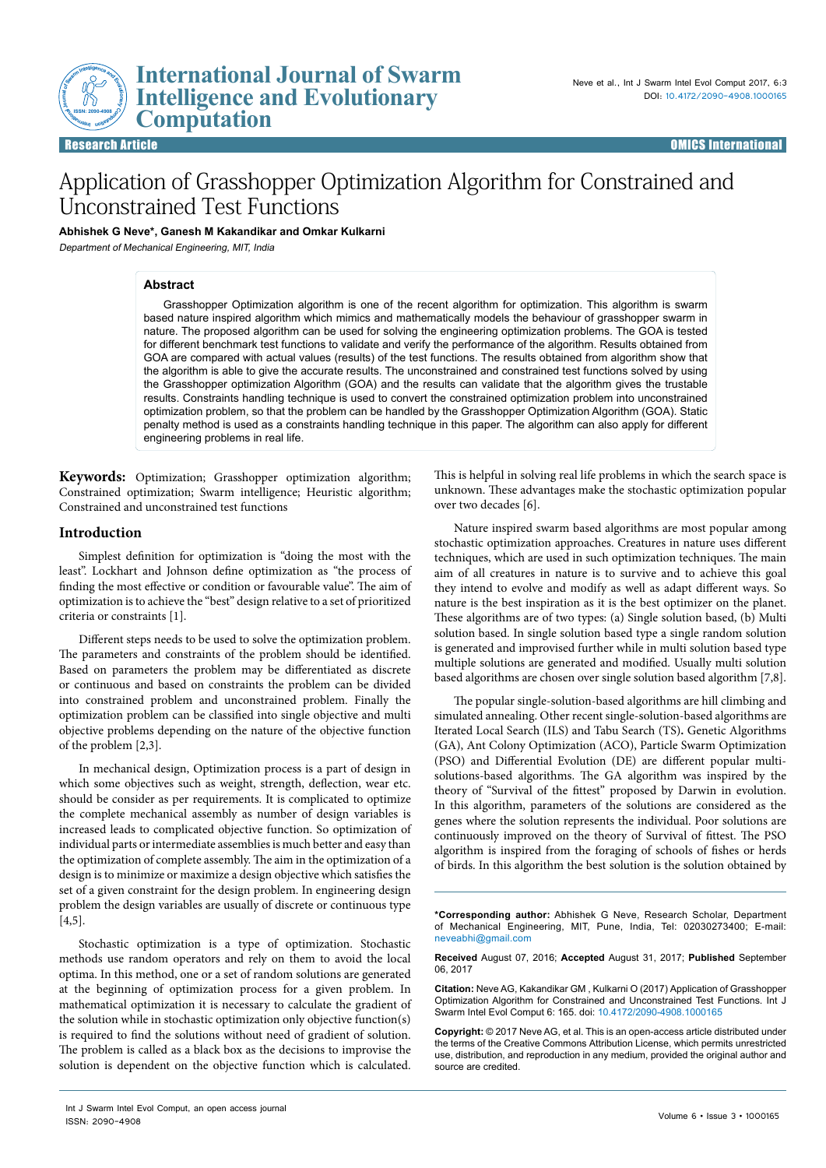**ISSN: 2090-4908**

# Application of Grasshopper Optimization Algorithm for Constrained and Unconstrained Test Functions

**Abhishek G Neve\*, Ganesh M Kakandikar and Omkar Kulkarni** 

**International Journal of Swarm Intelligence and Evolutionary** 

Department of Mechanical Engineering, MIT, India

**Example 12 International**<br> **Computation**<br> **Computation** 

#### **Abstract**

Grasshopper Optimization algorithm is one of the recent algorithm for optimization. This algorithm is swarm based nature inspired algorithm which mimics and mathematically models the behaviour of grasshopper swarm in nature. The proposed algorithm can be used for solving the engineering optimization problems. The GOA is tested for different benchmark test functions to validate and verify the performance of the algorithm. Results obtained from GOA are compared with actual values (results) of the test functions. The results obtained from algorithm show that the algorithm is able to give the accurate results. The unconstrained and constrained test functions solved by using the Grasshopper optimization Algorithm (GOA) and the results can validate that the algorithm gives the trustable results. Constraints handling technique is used to convert the constrained optimization problem into unconstrained optimization problem, so that the problem can be handled by the Grasshopper Optimization Algorithm (GOA). Static penalty method is used as a constraints handling technique in this paper. The algorithm can also apply for different engineering problems in real life.

**Keywords:** Optimization; Grasshopper optimization algorithm; Constrained optimization; Swarm intelligence; Heuristic algorithm; Constrained and unconstrained test functions

#### **Introduction**

Simplest definition for optimization is "doing the most with the least". Lockhart and Johnson define optimization as "the process of finding the most effective or condition or favourable value". The aim of optimization is to achieve the "best" design relative to a set of prioritized criteria or constraints [1].

Different steps needs to be used to solve the optimization problem. The parameters and constraints of the problem should be identified. Based on parameters the problem may be differentiated as discrete or continuous and based on constraints the problem can be divided into constrained problem and unconstrained problem. Finally the optimization problem can be classified into single objective and multi objective problems depending on the nature of the objective function of the problem [2,3].

In mechanical design, Optimization process is a part of design in which some objectives such as weight, strength, deflection, wear etc. should be consider as per requirements. It is complicated to optimize the complete mechanical assembly as number of design variables is increased leads to complicated objective function. So optimization of individual parts or intermediate assemblies is much better and easy than the optimization of complete assembly. The aim in the optimization of a design is to minimize or maximize a design objective which satisfies the set of a given constraint for the design problem. In engineering design problem the design variables are usually of discrete or continuous type [4,5].

Stochastic optimization is a type of optimization. Stochastic methods use random operators and rely on them to avoid the local optima. In this method, one or a set of random solutions are generated at the beginning of optimization process for a given problem. In mathematical optimization it is necessary to calculate the gradient of the solution while in stochastic optimization only objective function(s) is required to find the solutions without need of gradient of solution. The problem is called as a black box as the decisions to improvise the solution is dependent on the objective function which is calculated. This is helpful in solving real life problems in which the search space is unknown. These advantages make the stochastic optimization popular over two decades [6].

Nature inspired swarm based algorithms are most popular among stochastic optimization approaches. Creatures in nature uses different techniques, which are used in such optimization techniques. The main aim of all creatures in nature is to survive and to achieve this goal they intend to evolve and modify as well as adapt different ways. So nature is the best inspiration as it is the best optimizer on the planet. These algorithms are of two types: (a) Single solution based, (b) Multi solution based. In single solution based type a single random solution is generated and improvised further while in multi solution based type multiple solutions are generated and modified. Usually multi solution based algorithms are chosen over single solution based algorithm [7,8].

The popular single-solution-based algorithms are hill climbing and simulated annealing. Other recent single-solution-based algorithms are Iterated Local Search (ILS) and Tabu Search (TS)**.** Genetic Algorithms (GA), Ant Colony Optimization (ACO), Particle Swarm Optimization (PSO) and Differential Evolution (DE) are different popular multisolutions-based algorithms. The GA algorithm was inspired by the theory of "Survival of the fittest" proposed by Darwin in evolution. In this algorithm, parameters of the solutions are considered as the genes where the solution represents the individual. Poor solutions are continuously improved on the theory of Survival of fittest. The PSO algorithm is inspired from the foraging of schools of fishes or herds of birds. In this algorithm the best solution is the solution obtained by

**\*Corresponding author:** Abhishek G Neve, Research Scholar, Department of Mechanical Engineering, MIT, Pune, India, Tel: 02030273400; E-mail: neveabhi@gmail.com

**Received** August 07, 2016; **Accepted** August 31, 2017; **Published** September 06, 2017

**Citation:** Neve AG, Kakandikar GM , Kulkarni O (2017) Application of Grasshopper Optimization Algorithm for Constrained and Unconstrained Test Functions. Int J Swarm Intel Evol Comput 6: 165. doi: 10.4172/2090-4908.1000165

**Copyright:** © 2017 Neve AG, et al. This is an open-access article distributed under the terms of the Creative Commons Attribution License, which permits unrestricted use, distribution, and reproduction in any medium, provided the original author and source are credited.

Int J Swarm Intel Evol Comput, an open access journal ISSN: 2090-4908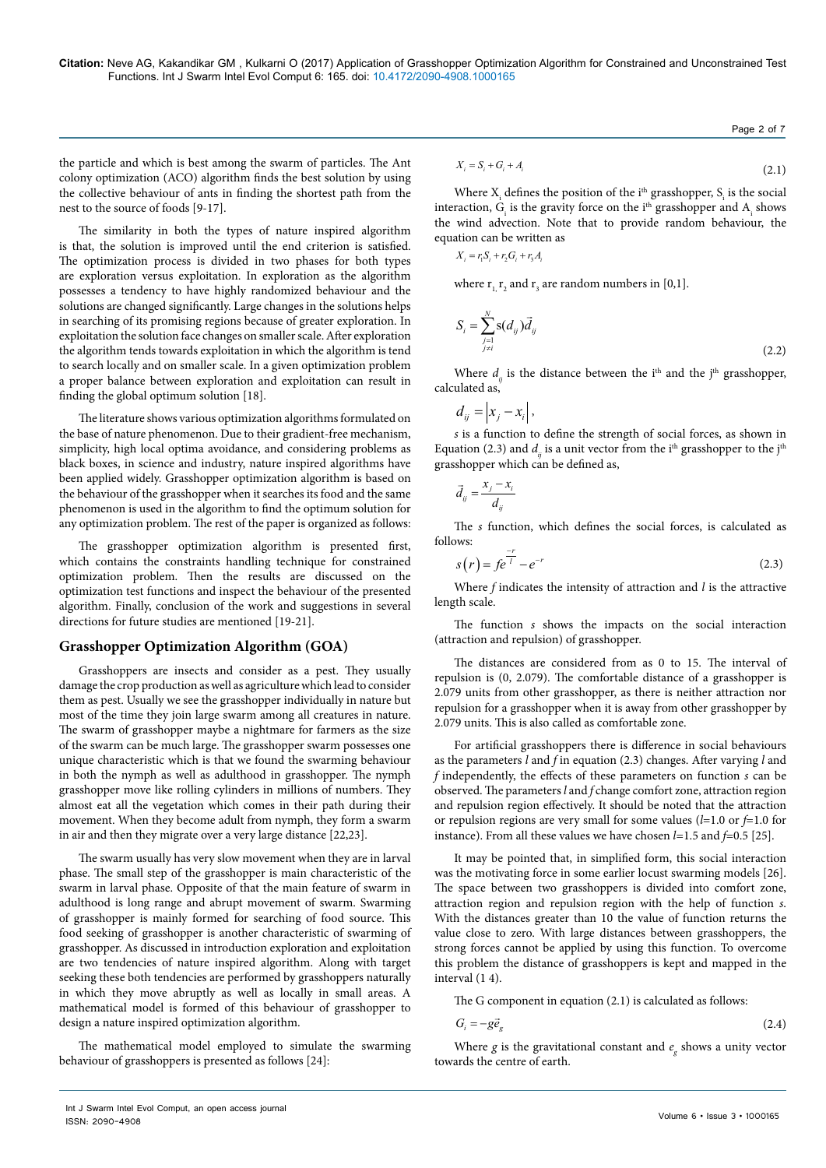the particle and which is best among the swarm of particles. The Ant colony optimization (ACO) algorithm finds the best solution by using the collective behaviour of ants in finding the shortest path from the nest to the source of foods [9-17].

The similarity in both the types of nature inspired algorithm is that, the solution is improved until the end criterion is satisfied. The optimization process is divided in two phases for both types are exploration versus exploitation. In exploration as the algorithm possesses a tendency to have highly randomized behaviour and the solutions are changed significantly. Large changes in the solutions helps in searching of its promising regions because of greater exploration. In exploitation the solution face changes on smaller scale. After exploration the algorithm tends towards exploitation in which the algorithm is tend to search locally and on smaller scale. In a given optimization problem a proper balance between exploration and exploitation can result in finding the global optimum solution [18].

The literature shows various optimization algorithms formulated on the base of nature phenomenon. Due to their gradient-free mechanism, simplicity, high local optima avoidance, and considering problems as black boxes, in science and industry, nature inspired algorithms have been applied widely. Grasshopper optimization algorithm is based on the behaviour of the grasshopper when it searches its food and the same phenomenon is used in the algorithm to find the optimum solution for any optimization problem. The rest of the paper is organized as follows:

The grasshopper optimization algorithm is presented first, which contains the constraints handling technique for constrained optimization problem. Then the results are discussed on the optimization test functions and inspect the behaviour of the presented algorithm. Finally, conclusion of the work and suggestions in several directions for future studies are mentioned [19-21].

# **Grasshopper Optimization Algorithm (GOA)**

Grasshoppers are insects and consider as a pest. They usually damage the crop production as well as agriculture which lead to consider them as pest. Usually we see the grasshopper individually in nature but most of the time they join large swarm among all creatures in nature. The swarm of grasshopper maybe a nightmare for farmers as the size of the swarm can be much large. The grasshopper swarm possesses one unique characteristic which is that we found the swarming behaviour in both the nymph as well as adulthood in grasshopper. The nymph grasshopper move like rolling cylinders in millions of numbers. They almost eat all the vegetation which comes in their path during their movement. When they become adult from nymph, they form a swarm in air and then they migrate over a very large distance [22,23].

The swarm usually has very slow movement when they are in larval phase. The small step of the grasshopper is main characteristic of the swarm in larval phase. Opposite of that the main feature of swarm in adulthood is long range and abrupt movement of swarm. Swarming of grasshopper is mainly formed for searching of food source. This food seeking of grasshopper is another characteristic of swarming of grasshopper. As discussed in introduction exploration and exploitation are two tendencies of nature inspired algorithm. Along with target seeking these both tendencies are performed by grasshoppers naturally in which they move abruptly as well as locally in small areas. A mathematical model is formed of this behaviour of grasshopper to design a nature inspired optimization algorithm.

The mathematical model employed to simulate the swarming behaviour of grasshoppers is presented as follows [24]:

$$
X_i = S_i + G_i + A_i \tag{2.1}
$$

Page 2 of 7

Where  $X_i$  defines the position of the i<sup>th</sup> grasshopper,  $S_i$  is the social interaction,  $G_i$  is the gravity force on the i<sup>th</sup> grasshopper and  $A_i$  shows the wind advection. Note that to provide random behaviour, the equation can be written as

$$
X_i = r_1 S_i + r_2 G_i + r_3 A_i
$$

where  $r_{1,}$ ,  $r_{2}$  and  $r_{3}$  are random numbers in [0,1].

$$
S_{i} = \sum_{\substack{j=1 \ j \neq i}}^{N} \mathbf{s}(d_{ij}) \vec{d}_{ij}
$$
 (2.2)

Where  $d_{ii}$  is the distance between the i<sup>th</sup> and the j<sup>th</sup> grasshopper, calculated as,

$$
d_{ij} = \left| x_j - x_i \right|,
$$

*s* is a function to define the strength of social forces, as shown in Equation (2.3) and  $d<sub>ii</sub>$  is a unit vector from the i<sup>th</sup> grasshopper to the j<sup>th</sup> grasshopper which can be defined as,

$$
\vec{d}_{ij} = \frac{x_j - x_i}{d_{ij}}
$$

The *s* function, which defines the social forces, is calculated as follows:

$$
s(r) = f e^{\frac{-r}{l}} - e^{-r}
$$
 (2.3)

Where *f* indicates the intensity of attraction and *l* is the attractive length scale.

The function *s* shows the impacts on the social interaction (attraction and repulsion) of grasshopper.

The distances are considered from as 0 to 15. The interval of repulsion is (0, 2.079). The comfortable distance of a grasshopper is 2.079 units from other grasshopper, as there is neither attraction nor repulsion for a grasshopper when it is away from other grasshopper by 2.079 units. This is also called as comfortable zone.

For artificial grasshoppers there is difference in social behaviours as the parameters *l* and *f* in equation (2.3) changes. After varying *l* and *f* independently, the effects of these parameters on function *s* can be observed. The parameters *l* and *f* change comfort zone, attraction region and repulsion region effectively. It should be noted that the attraction or repulsion regions are very small for some values (*l*=1.0 or *f*=1.0 for instance). From all these values we have chosen *l=*1.5 and *f*=0.5 [25].

It may be pointed that, in simplified form, this social interaction was the motivating force in some earlier locust swarming models [26]. The space between two grasshoppers is divided into comfort zone, attraction region and repulsion region with the help of function *s*. With the distances greater than 10 the value of function returns the value close to zero. With large distances between grasshoppers, the strong forces cannot be applied by using this function. To overcome this problem the distance of grasshoppers is kept and mapped in the interval (1 4).

The G component in equation (2.1) is calculated as follows:

$$
G_i = -g\vec{e}_g \tag{2.4}
$$

Where  $g$  is the gravitational constant and  $e_g$  shows a unity vector towards the centre of earth.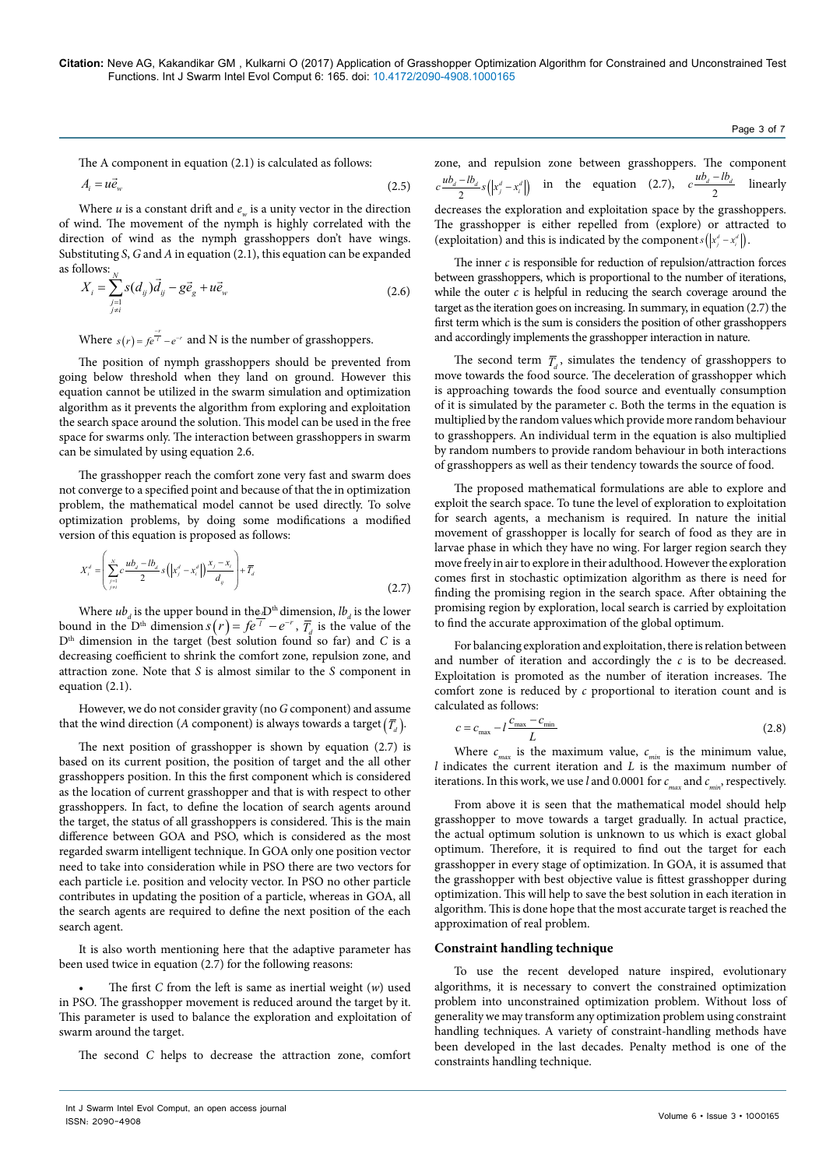The A component in equation (2.1) is calculated as follows:

$$
A_i = u\vec{e}_w \tag{2.5}
$$

Where  $u$  is a constant drift and  $e_u$  is a unity vector in the direction of wind. The movement of the nymph is highly correlated with the direction of wind as the nymph grasshoppers don't have wings. Substituting *S*, *G* and *A* in equation (2.1), this equation can be expanded as follows: *N*

$$
X_i = \sum_{\substack{j=1 \ j \neq i}}^{N} s(d_{ij}) \vec{d}_{ij} - g \vec{e}_g + u \vec{e}_w
$$
 (2.6)

Where  $s(r) = fe^{\frac{-r}{l}} - e^{-r}$  and N is the number of grasshoppers.

The position of nymph grasshoppers should be prevented from going below threshold when they land on ground. However this equation cannot be utilized in the swarm simulation and optimization algorithm as it prevents the algorithm from exploring and exploitation the search space around the solution. This model can be used in the free space for swarms only. The interaction between grasshoppers in swarm can be simulated by using equation 2.6.

The grasshopper reach the comfort zone very fast and swarm does not converge to a specified point and because of that the in optimization problem, the mathematical model cannot be used directly. To solve optimization problems, by doing some modifications a modified version of this equation is proposed as follows:

$$
X_i^d = \left(\sum_{\substack{j=1 \ j \neq i}}^N c \frac{ub_d - lb_d}{2} s\left(|x_j^d - x_i^d|\right) \frac{x_j - x_i}{d_j}\right) + \overline{T}_d
$$
\n(2.7)

Where  $ub_d$  is the upper bound in the *D*<sup>th</sup> dimension,  $lb_d$  is the lower bound in the D<sup>th</sup> dimension  $s(r) = fe^{-r} - e^{-r}$ ,  $\overline{T}_d$  is the value of the D<sup>th</sup> dimension in the target (best solution found so far) and *C* is a decreasing coefficient to shrink the comfort zone, repulsion zone, and attraction zone. Note that *S* is almost similar to the *S* component in equation (2.1).

However, we do not consider gravity (no *G* component) and assume that the wind direction (*A* component) is always towards a target  $(\overline{T}_d)$ .

The next position of grasshopper is shown by equation (2.7) is based on its current position, the position of target and the all other grasshoppers position. In this the first component which is considered as the location of current grasshopper and that is with respect to other grasshoppers. In fact, to define the location of search agents around the target, the status of all grasshoppers is considered. This is the main difference between GOA and PSO, which is considered as the most regarded swarm intelligent technique. In GOA only one position vector need to take into consideration while in PSO there are two vectors for each particle i.e. position and velocity vector. In PSO no other particle contributes in updating the position of a particle, whereas in GOA, all the search agents are required to define the next position of the each search agent.

It is also worth mentioning here that the adaptive parameter has been used twice in equation (2.7) for the following reasons:

• The first *C* from the left is same as inertial weight (*w*) used in PSO. The grasshopper movement is reduced around the target by it. This parameter is used to balance the exploration and exploitation of swarm around the target.

The second *C* helps to decrease the attraction zone, comfort

zone, and repulsion zone between grasshoppers. The component  $c \frac{u b_d - l b_d}{2} s(|x_j^d - x_i^d|)$  in the equation (2.7),  $c \frac{u b_d - l b_d}{2}$  linearly decreases the exploration and exploitation space by the grasshoppers. The grasshopper is either repelled from (explore) or attracted to (exploitation) and this is indicated by the component  $s(|x_j^d - x_i^d|)$ .

The inner *c* is responsible for reduction of repulsion/attraction forces between grasshoppers, which is proportional to the number of iterations, while the outer  $c$  is helpful in reducing the search coverage around the target as the iteration goes on increasing. In summary, in equation (2.7) the first term which is the sum is considers the position of other grasshoppers and accordingly implements the grasshopper interaction in nature.

The second term  $\overline{T}$ , simulates the tendency of grasshoppers to move towards the food source. The deceleration of grasshopper which is approaching towards the food source and eventually consumption of it is simulated by the parameter c. Both the terms in the equation is multiplied by the random values which provide more random behaviour to grasshoppers. An individual term in the equation is also multiplied by random numbers to provide random behaviour in both interactions of grasshoppers as well as their tendency towards the source of food.

The proposed mathematical formulations are able to explore and exploit the search space. To tune the level of exploration to exploitation for search agents, a mechanism is required. In nature the initial movement of grasshopper is locally for search of food as they are in larvae phase in which they have no wing. For larger region search they move freely in air to explore in their adulthood. However the exploration comes first in stochastic optimization algorithm as there is need for finding the promising region in the search space. After obtaining the promising region by exploration, local search is carried by exploitation to find the accurate approximation of the global optimum.

For balancing exploration and exploitation, there is relation between and number of iteration and accordingly the *c* is to be decreased. Exploitation is promoted as the number of iteration increases. The comfort zone is reduced by *c* proportional to iteration count and is calculated as follows:

$$
c = c_{\text{max}} - l \frac{c_{\text{max}} - c_{\text{min}}}{L} \tag{2.8}
$$

Where  $c_{max}$  is the maximum value,  $c_{min}$  is the minimum value, *l* indicates the current iteration and *L* is the maximum number of iterations. In this work, we use *l* and 0.0001 for  $c_{max}$  and  $c_{min}$ , respectively.

From above it is seen that the mathematical model should help grasshopper to move towards a target gradually. In actual practice, the actual optimum solution is unknown to us which is exact global optimum. Therefore, it is required to find out the target for each grasshopper in every stage of optimization. In GOA, it is assumed that the grasshopper with best objective value is fittest grasshopper during optimization. This will help to save the best solution in each iteration in algorithm. This is done hope that the most accurate target is reached the approximation of real problem.

#### **Constraint handling technique**

To use the recent developed nature inspired, evolutionary algorithms, it is necessary to convert the constrained optimization problem into unconstrained optimization problem. Without loss of generality we may transform any optimization problem using constraint handling techniques. A variety of constraint-handling methods have been developed in the last decades. Penalty method is one of the constraints handling technique.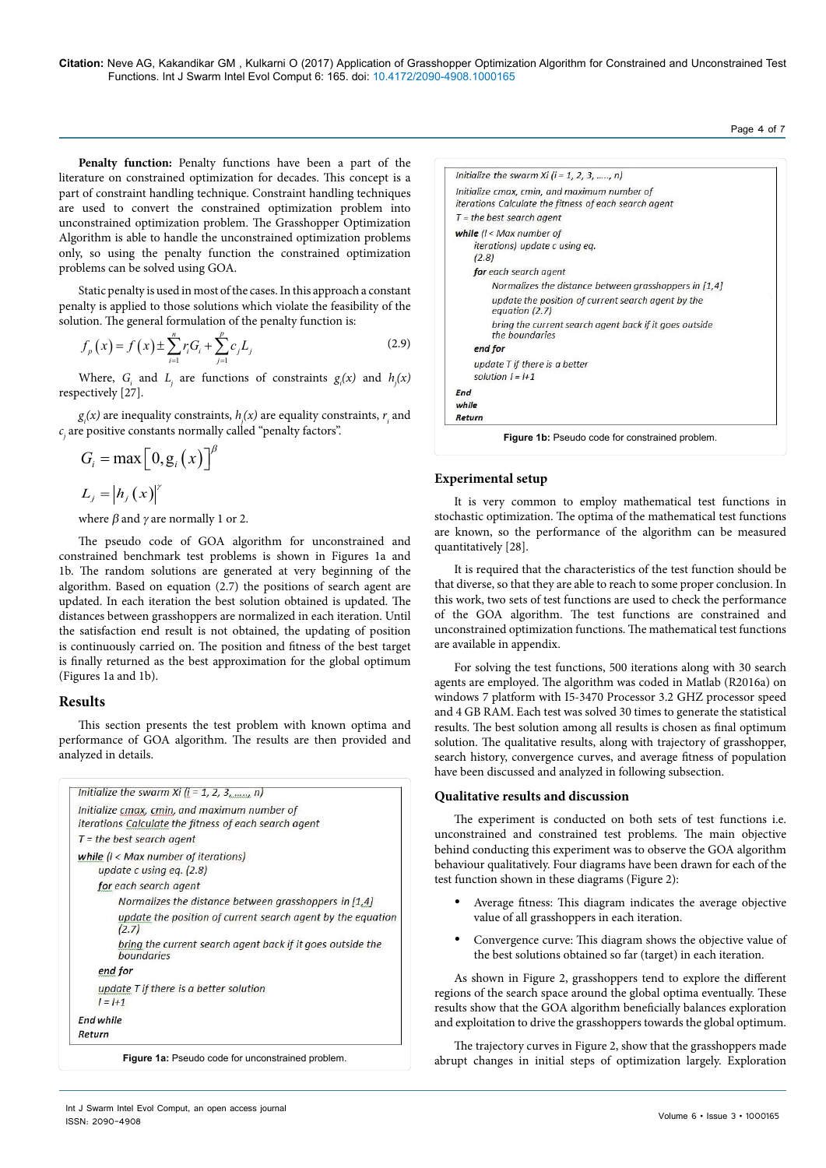**Citation:** Neve AG, Kakandikar GM , Kulkarni O (2017) Application of Grasshopper Optimization Algorithm for Constrained and Unconstrained Test Functions. Int J Swarm Intel Evol Comput 6: 165. doi: 10.4172/2090-4908.1000165

Penalty function: Penalty functions have been a part of the literature on constrained optimization for decades. This concept is a part of constraint handling technique. Constraint handling techniques are used to convert the constrained optimization problem into unconstrained optimization problem. The Grasshopper Optimization Algorithm is able to handle the unconstrained optimization problems only, so using the penalty function the constrained optimization problems can be solved using GOA.

Static penalty is used in most of the cases. In this approach a constant penalty is applied to those solutions which violate the feasibility of the solution. The general formulation of the penalty function is:

$$
f_p(x) = f(x) \pm \sum_{i=1}^n r_i G_i + \sum_{j=1}^p c_j L_j
$$
 (2.9)

Where,  $G_i$  and  $L_j$  are functions of constraints  $g_i(x)$  and  $h_j(x)$ respectively [27].

 $g_i(x)$  are inequality constraints,  $h_j(x)$  are equality constraints,  $r_i$  and  $c_{j}^{\phantom{\dag}}$  are positive constants normally called "penalty factors".

$$
G_i = \max\left[0, g_i(x)\right]^{\beta}
$$

 $L_{j} = |h_{j}(x)|^{r}$ 

where  $\beta$  and  $\gamma$  are normally 1 or 2.

The pseudo code of GOA algorithm for unconstrained and constrained benchmark test problems is shown in Figures 1a and 1b. The random solutions are generated at very beginning of the algorithm. Based on equation (2.7) the positions of search agent are updated. In each iteration the best solution obtained is updated. The distances between grasshoppers are normalized in each iteration. Until the satisfaction end result is not obtained, the updating of position is continuously carried on. The position and fitness of the best target is finally returned as the best approximation for the global optimum (Figures 1a and 1b).

# **Results**

This section presents the test problem with known optima and performance of GOA algorithm. The results are then provided and analyzed in details.

|           | Initialize the swarm Xi ( $i = 1, 2, 3, \dots, n$ )                             |
|-----------|---------------------------------------------------------------------------------|
|           | Initialize cmax, cmin, and maximum number of                                    |
|           | iterations Calculate the fitness of each search agent                           |
|           | $T =$ the best search agent                                                     |
|           | while $(l <$ Max number of iterations)                                          |
|           | update c using eq. $(2.8)$                                                      |
|           | for each search agent                                                           |
|           | Normalizes the distance between grasshoppers in $[1,4]$                         |
|           | update the position of current search agent by the equation<br>(2.7)            |
|           | bring the current search agent back if it goes outside the<br><i>boundaries</i> |
|           | end for                                                                         |
|           | update T if there is a better solution                                          |
|           | $l = l + 1$                                                                     |
| End while |                                                                                 |
| Return    |                                                                                 |

Initialize the swarm Xi ( $i = 1, 2, 3, \dots, n$ ) Initialize cmax, cmin, and maximum number of iterations Calculate the fitness of each search agent  $T =$  the best search agent while  $(l <$  Max number of iterations) update c using eq.  $(2.8)$ for each search agent Normalizes the distance between arasshoppers in [1.4] update the position of current search agent by the equation (2.7) bring the current search agent back if it goes outside the boundaries end for update T if there is a better solution  $I = I + 1$ End while Return **Figure 1b:** Pseudo code for constrained problem.

# **Experimental setup**

It is very common to employ mathematical test functions in stochastic optimization. The optima of the mathematical test functions are known, so the performance of the algorithm can be measured quantitatively [28].

It is required that the characteristics of the test function should be that diverse, so that they are able to reach to some proper conclusion. In this work, two sets of test functions are used to check the performance of the GOA algorithm. The test functions are constrained and unconstrained optimization functions. The mathematical test functions are available in appendix.

For solving the test functions, 500 iterations along with 30 search agents are employed. The algorithm was coded in Matlab (R2016a) on windows 7 platform with I5-3470 Processor 3.2 GHZ processor speed and 4 GB RAM. Each test was solved 30 times to generate the statistical results. The best solution among all results is chosen as final optimum solution. The qualitative results, along with trajectory of grasshopper, search history, convergence curves, and average fitness of population have been discussed and analyzed in following subsection.

# **Qualitative results and discussion**

The experiment is conducted on both sets of test functions i.e. unconstrained and constrained test problems. The main objective behind conducting this experiment was to observe the GOA algorithm behaviour qualitatively. Four diagrams have been drawn for each of the test function shown in these diagrams (Figure 2):

- Average fitness: This diagram indicates the average objective value of all grasshoppers in each iteration.
- Convergence curve: This diagram shows the objective value of the best solutions obtained so far (target) in each iteration.

As shown in Figure 2, grasshoppers tend to explore the different regions of the search space around the global optima eventually. These results show that the GOA algorithm beneficially balances exploration and exploitation to drive the grasshoppers towards the global optimum.

The trajectory curves in Figure 2, show that the grasshoppers made abrupt changes in initial steps of optimization largely. Exploration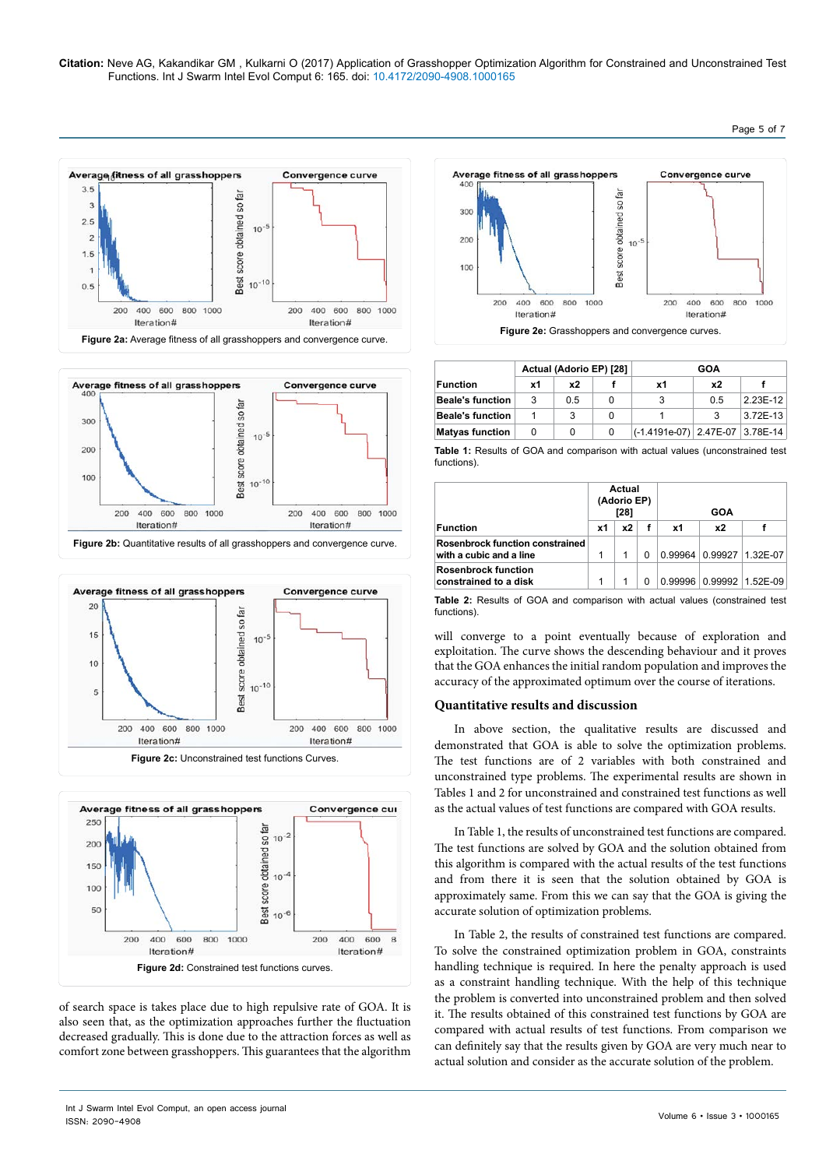**Citation:** Neve AG, Kakandikar GM , Kulkarni O (2017) Application of Grasshopper Optimization Algorithm for Constrained and Unconstrained Test Functions. Int J Swarm Intel Evol Comput 6: 165. doi: 10.4172/2090-4908.1000165









of search space is takes place due to high repulsive rate of GOA. It is also seen that, as the optimization approaches further the fluctuation decreased gradually. This is done due to the attraction forces as well as comfort zone between grasshoppers. This guarantees that the algorithm



|                         | Actual (Adorio EP) [28] |     | GOA |                                 |     |            |
|-------------------------|-------------------------|-----|-----|---------------------------------|-----|------------|
| <b>Function</b>         | x1                      | x2  |     | x1                              | x2  |            |
| <b>Beale's function</b> | 3                       | 0.5 | 0   |                                 | 0.5 | 2.23E-12   |
| <b>Beale's function</b> |                         |     | 0   |                                 |     | $3.72E-13$ |
| <b>Matyas function</b>  |                         |     | 0   | (-1.4191e-07) 2.47E-07 3.78E-14 |     |            |

**Table 1:** Results of GOA and comparison with actual values (unconstrained test functions).

|                                                            | Actual<br>(Adorio EP)<br>$[28]$ |    | GOA |    |           |                              |
|------------------------------------------------------------|---------------------------------|----|-----|----|-----------|------------------------------|
| <b>Function</b>                                            | x1                              | x2 |     | x1 | <b>x2</b> |                              |
| Rosenbrock function constrained<br>with a cubic and a line |                                 | 1  | 0   |    |           | 0.99964 0.99927 1.32E-07     |
| <b>Rosenbrock function</b><br>constrained to a disk        |                                 |    |     |    |           | 0.99996   0.99992   1.52E-09 |

**Table 2:** Results of GOA and comparison with actual values (constrained test functions).

will converge to a point eventually because of exploration and exploitation. The curve shows the descending behaviour and it proves that the GOA enhances the initial random population and improves the accuracy of the approximated optimum over the course of iterations.

# **Quantitative results and discussion**

In above section, the qualitative results are discussed and demonstrated that GOA is able to solve the optimization problems. The test functions are of 2 variables with both constrained and unconstrained type problems. The experimental results are shown in Tables 1 and 2 for unconstrained and constrained test functions as well as the actual values of test functions are compared with GOA results.

In Table 1, the results of unconstrained test functions are compared. The test functions are solved by GOA and the solution obtained from this algorithm is compared with the actual results of the test functions and from there it is seen that the solution obtained by GOA is approximately same. From this we can say that the GOA is giving the accurate solution of optimization problems.

In Table 2, the results of constrained test functions are compared. To solve the constrained optimization problem in GOA, constraints handling technique is required. In here the penalty approach is used as a constraint handling technique. With the help of this technique the problem is converted into unconstrained problem and then solved it. The results obtained of this constrained test functions by GOA are compared with actual results of test functions. From comparison we can definitely say that the results given by GOA are very much near to actual solution and consider as the accurate solution of the problem.

Volume 6 • Issue 3 • 1000165

Page 5 of 7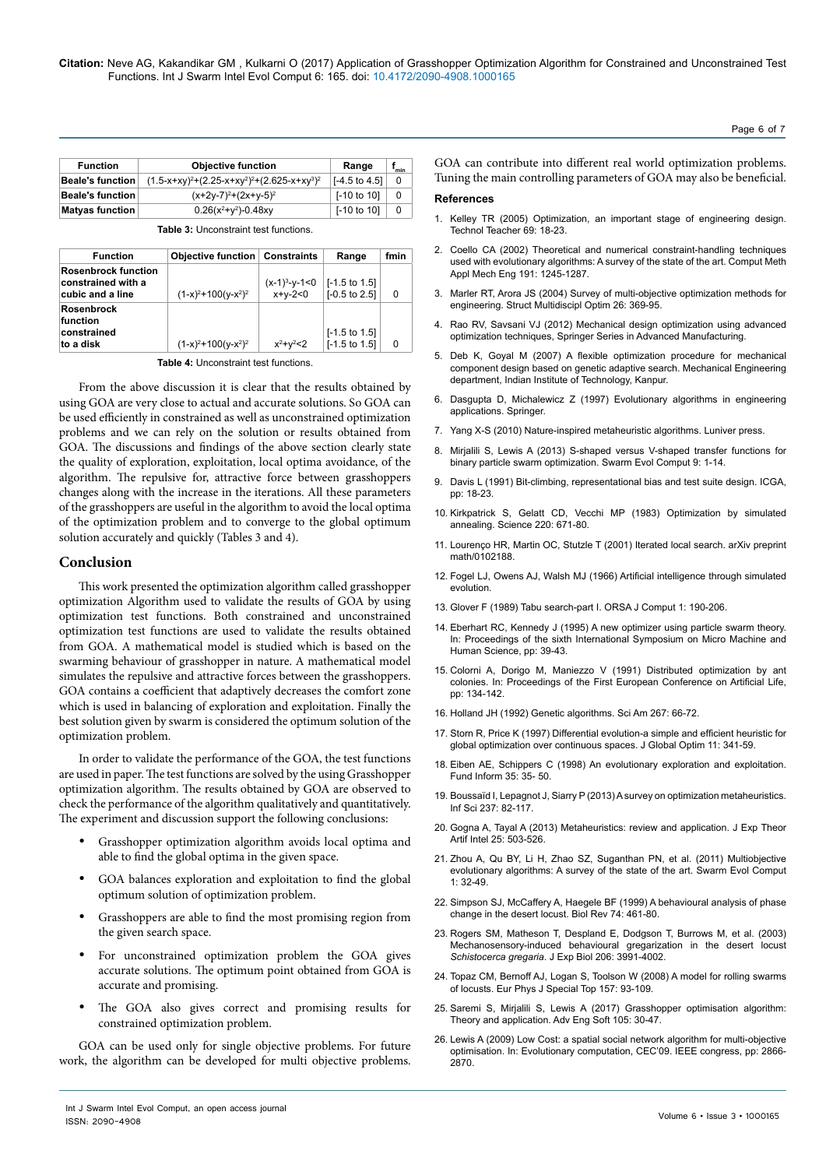| <b>Function</b>         | <b>Objective function</b>                       | Range                    | min |
|-------------------------|-------------------------------------------------|--------------------------|-----|
| Beale's function        | $(1.5-x+xy)^2+(2.25-x+xy^2)^2+(2.625-x+xy^3)^2$ | $[-4.5 \text{ to } 4.5]$ | 0   |
| <b>Beale's function</b> | $(x+2y-7)^{2}+(2x+y-5)^{2}$                     | $[-10 \text{ to } 10]$   | 0   |
| <b>Matyas function</b>  | $0.26(x^2+y^2)-0.48xy$                          | $[-10 \text{ to } 10]$   | 0   |

**Table 3:** Unconstraint test functions.

| <b>Function</b>                                                      | <b>Objective function Constraints</b> |                              | Range                                                | fmin |
|----------------------------------------------------------------------|---------------------------------------|------------------------------|------------------------------------------------------|------|
| <b>Rosenbrock function</b><br>constrained with a<br>cubic and a line | $(1-x)^2+100(y-x^2)^2$                | $(x-1)^3-y-1<0$<br>$x+y-2<0$ | $\vert$ [-1.5 to 1.5]<br>$[-0.5 \text{ to } 2.5]$    | O    |
| <b>Rosenbrock</b><br>function<br>constrained<br>to a disk            | $(1-x)^2+100(y-x^2)^2$                | $x^2 + y^2 < 2$              | $[-1.5 \text{ to } 1.5]$<br>$[-1.5 \text{ to } 1.5]$ | O    |

**Table 4:** Unconstraint test functions.

From the above discussion it is clear that the results obtained by using GOA are very close to actual and accurate solutions. So GOA can be used efficiently in constrained as well as unconstrained optimization problems and we can rely on the solution or results obtained from GOA. The discussions and findings of the above section clearly state the quality of exploration, exploitation, local optima avoidance, of the algorithm. The repulsive for, attractive force between grasshoppers changes along with the increase in the iterations. All these parameters of the grasshoppers are useful in the algorithm to avoid the local optima of the optimization problem and to converge to the global optimum solution accurately and quickly (Tables 3 and 4).

#### **Conclusion**

This work presented the optimization algorithm called grasshopper optimization Algorithm used to validate the results of GOA by using optimization test functions. Both constrained and unconstrained optimization test functions are used to validate the results obtained from GOA. A mathematical model is studied which is based on the swarming behaviour of grasshopper in nature. A mathematical model simulates the repulsive and attractive forces between the grasshoppers. GOA contains a coefficient that adaptively decreases the comfort zone which is used in balancing of exploration and exploitation. Finally the best solution given by swarm is considered the optimum solution of the optimization problem.

In order to validate the performance of the GOA, the test functions are used in paper. The test functions are solved by the using Grasshopper optimization algorithm. The results obtained by GOA are observed to check the performance of the algorithm qualitatively and quantitatively. The experiment and discussion support the following conclusions:

- Grasshopper optimization algorithm avoids local optima and able to find the global optima in the given space.
- GOA balances exploration and exploitation to find the global optimum solution of optimization problem.
- Grasshoppers are able to find the most promising region from the given search space.
- For unconstrained optimization problem the GOA gives accurate solutions. The optimum point obtained from GOA is accurate and promising.
- The GOA also gives correct and promising results for constrained optimization problem.

GOA can be used only for single objective problems. For future work, the algorithm can be developed for multi objective problems.

GOA can contribute into different real world optimization problems. Tuning the main controlling parameters of GOA may also be beneficial.

#### **References**

- 1. [Kelley TR \(2005\) Optimization, an important stage of engineering design.](http://digitalcommons.usu.edu/cgi/viewcontent.cgi?article=1031&context=ncete_publications)  [Technol Teacher 69: 18-23.](http://digitalcommons.usu.edu/cgi/viewcontent.cgi?article=1031&context=ncete_publications)
- 2. [Coello CA \(2002\) Theoretical and numerical constraint-handling techniques](http://delta.cs.cinvestav.mx/~ccoello/compevol/constraint-cmame-final.pdf)  [used with evolutionary algorithms: A survey of the state of the art. Comput Meth](http://delta.cs.cinvestav.mx/~ccoello/compevol/constraint-cmame-final.pdf)  [Appl Mech Eng 191: 1245-1287.](http://delta.cs.cinvestav.mx/~ccoello/compevol/constraint-cmame-final.pdf)
- 3. [Marler RT, Arora JS \(2004\) Survey of multi-objective optimization methods for](https://link.springer.com/article/10.1007/s00158-003-0368-6)  [engineering. Struct Multidiscipl Optim 26: 369-95.](https://link.springer.com/article/10.1007/s00158-003-0368-6)
- 4. [Rao RV, Savsani VJ \(2012\) Mechanical design optimization using advanced](https://www.google.co.in/url?sa=t&rct=j&q=&esrc=s&source=web&cd=2&ved=0ahUKEwjg6tCvkIvWAhUEOI8KHct3DT4QFggtMAE&url=http%3A%2F%2Fwww.springer.com%2Fcda%2Fcontent%2Fdocument%2Fcda_downloaddocument%2F9781447127475-c2.pdf%3FSGWID%3D0-0-45-1293543-p174282666&usg=AFQjCNEoAxW84BDk6GTXW-uyYOHCEAQtmQ)  [optimization techniques, Springer Series in Advanced Manufacturing.](https://www.google.co.in/url?sa=t&rct=j&q=&esrc=s&source=web&cd=2&ved=0ahUKEwjg6tCvkIvWAhUEOI8KHct3DT4QFggtMAE&url=http%3A%2F%2Fwww.springer.com%2Fcda%2Fcontent%2Fdocument%2Fcda_downloaddocument%2F9781447127475-c2.pdf%3FSGWID%3D0-0-45-1293543-p174282666&usg=AFQjCNEoAxW84BDk6GTXW-uyYOHCEAQtmQ)
- 5. [Deb K, Goyal M \(2007\) A flexible optimization procedure for mechanical](http://mechanicaldesign.asmedigitalcollection.asme.org/article.aspx?articleid=1445272)  [component design based on genetic adaptive search. Mechanical Engineering](http://mechanicaldesign.asmedigitalcollection.asme.org/article.aspx?articleid=1445272)  [department, Indian Institute of Technology, Kanpur.](http://mechanicaldesign.asmedigitalcollection.asme.org/article.aspx?articleid=1445272)
- 6. [Dasgupta D, Michalewicz Z \(1997\) Evolutionary algorithms in engineering](http://www.springer.com/in/book/9783540620211)  [applications. Springer.](http://www.springer.com/in/book/9783540620211)
- 7. [Yang X-S \(2010\) Nature-inspired metaheuristic algorithms. Luniver press.](https://books.google.co.in/books/about/Nature_inspired_Metaheuristic_Algorithms.html?id=iVB_ETlh4ogC)
- 8. [Mirjalili S, Lewis A \(2013\) S-shaped versus V-shaped transfer functions for](https://www.researchgate.net/publication/259151123_S-shaped_versus_V-shaped_transfer_functions_for_binary_Particle_Swarm_Optimization)  [binary particle swarm optimization. Swarm Evol Comput 9: 1-14.](https://www.researchgate.net/publication/259151123_S-shaped_versus_V-shaped_transfer_functions_for_binary_Particle_Swarm_Optimization)
- 9. [Davis L \(1991\) Bit-climbing, representational bias and test suite design. ICGA,](http://dblp.org/db/conf/icga/icga1991)  [pp: 18-23.](http://dblp.org/db/conf/icga/icga1991)
- 10. [Kirkpatrick S, Gelatt CD, Vecchi MP \(1983\) Optimization by simulated](https://www.ncbi.nlm.nih.gov/pubmed/17813860?report=docsum)  [annealing. Science 220: 671-80.](https://www.ncbi.nlm.nih.gov/pubmed/17813860?report=docsum)
- 11. [Lourenço HR, Martin OC, Stutzle T \(2001\) Iterated local search. arXiv preprint](https://arxiv.org/abs/math/0102188)  [math/0102188.](https://arxiv.org/abs/math/0102188)
- 12. [Fogel LJ, Owens AJ, Walsh MJ \(1966\) Artificial intelligence through simulated](http://file.scirp.org/Html/3-7900209_24859.htm)  [evolution.](http://file.scirp.org/Html/3-7900209_24859.htm)
- 13. [Glover F \(1989\) Tabu search-part I. ORSA J Comput 1: 190-206.](http://pubsonline.informs.org/doi/abs/10.1287/ijoc.1.3.190)
- 14. [Eberhart RC, Kennedy J \(1995\) A new optimizer using particle swarm theory.](http://citeseerx.ist.psu.edu/viewdoc/download;jsessionid=E74451E2AAB8E9E7C509D007F95EEF6E?doi=10.1.1.470.3577&rep=rep1&type=pdf)  In: Proceedings of the sixth International Symposium on Micro Machine and [Human Science, pp: 39-43.](http://citeseerx.ist.psu.edu/viewdoc/download;jsessionid=E74451E2AAB8E9E7C509D007F95EEF6E?doi=10.1.1.470.3577&rep=rep1&type=pdf)
- 15. [Colorni A, Dorigo M, Maniezzo V \(1991\) Distributed optimization by ant](https://www.researchgate.net/publication/216300484_Distributed_Optimization_by_Ant_Colonies)  [colonies. In: Proceedings of the First European Conference on Artificial Life,](https://www.researchgate.net/publication/216300484_Distributed_Optimization_by_Ant_Colonies)  [pp: 134-142.](https://www.researchgate.net/publication/216300484_Distributed_Optimization_by_Ant_Colonies)
- 16. [Holland JH \(1992\) Genetic algorithms. Sci Am 267: 66-72](https://www.nature.com/scientificamerican/journal/v267/n1/pdf/scientificamerican0792-66.pdf).
- 17. [Storn R, Price K \(1997\) Differential evolution-a simple and efficient heuristic for](http://jaguar.biologie.hu-berlin.de/~wolfram/pages/seminar_theoretische_biologie_2007/literatur/schaber/Storn1997JGlobOpt11.pdf)  [global optimization over continuous spaces. J Global Optim 11: 341-59.](http://jaguar.biologie.hu-berlin.de/~wolfram/pages/seminar_theoretische_biologie_2007/literatur/schaber/Storn1997JGlobOpt11.pdf)
- 18. [Eiben AE, Schippers C \(1998\) An evolutionary exploration and exploitation.](http://content.iospress.com/articles/fundamenta-informaticae/fi35-1-4-03)  [Fund Inform 35: 35- 50.](http://content.iospress.com/articles/fundamenta-informaticae/fi35-1-4-03)
- 19. Boussaïd I, Lepagnot J, Siarry P (2013) A survey on optimization metaheuristics. Inf Sci 237: 82-117.
- 20. [Gogna A, Tayal A \(2013\) Metaheuristics: review and application. J Exp Theor](http://www.tandfonline.com/doi/abs/10.1080/0952813X.2013.782347)  [Artif Intel 25: 503-526.](http://www.tandfonline.com/doi/abs/10.1080/0952813X.2013.782347)
- 21. [Zhou A, Qu BY, Li H, Zhao SZ, Suganthan PN, et al. \(2011\) Multiobjective](http://citeseerx.ist.psu.edu/viewdoc/download?doi=10.1.1.465.9199&rep=rep1&type=pdf)  [evolutionary algorithms: A survey of the state of the art. Swarm Evol Comput](http://citeseerx.ist.psu.edu/viewdoc/download?doi=10.1.1.465.9199&rep=rep1&type=pdf)  [1: 32-49.](http://citeseerx.ist.psu.edu/viewdoc/download?doi=10.1.1.465.9199&rep=rep1&type=pdf)
- 22. [Simpson SJ, McCaffery A, Haegele BF \(1999\) A behavioural analysis of phase](https://www.researchgate.net/publication/227749263_A_behavioral_analysis_of_phase_change_in_the_desert_locust)  [change in the desert locust. Biol Rev 74: 461-80.](https://www.researchgate.net/publication/227749263_A_behavioral_analysis_of_phase_change_in_the_desert_locust)
- 23. [Rogers SM, Matheson T, Despland E, Dodgson T, Burrows M, et al. \(2003\)](https://www.ncbi.nlm.nih.gov/pubmed/14555739)  [Mechanosensory-induced behavioural gregarization in the desert locust](https://www.ncbi.nlm.nih.gov/pubmed/14555739)  *Schistocerca gregaria*[. J Exp Biol 206: 3991-4002.](https://www.ncbi.nlm.nih.gov/pubmed/14555739)
- 24. [Topaz CM, Bernoff AJ, Logan S, Toolson W \(2008\) A model for rolling swarms](https://link.springer.com/article/10.1140/epjst/e2008-00633-y)  [of locusts. Eur Phys J Special Top 157: 93-109.](https://link.springer.com/article/10.1140/epjst/e2008-00633-y)
- 25. [Saremi S, Mirjalili S, Lewis A \(2017\) Grasshopper optimisation algorithm:](http://www.sciencedirect.com/science/article/pii/S0965997816305646?via%3Dihub)  [Theory and application. Adv Eng Soft 105: 30-47.](http://www.sciencedirect.com/science/article/pii/S0965997816305646?via%3Dihub)
- 26. [Lewis A \(2009\) Low Cost: a spatial social network algorithm for multi-objective](http://ieeexplore.ieee.org/document/4983302/)  [optimisation. In: Evolutionary computation, CEC'09. IEEE congress, pp: 2866-](http://ieeexplore.ieee.org/document/4983302/) [2870.](http://ieeexplore.ieee.org/document/4983302/)